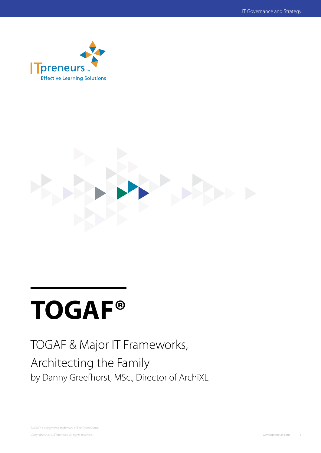



# **TOGAF®**

# TOGAF & Major IT Frameworks, Architecting the Family by Danny Greefhorst, MSc., Director of ArchiXL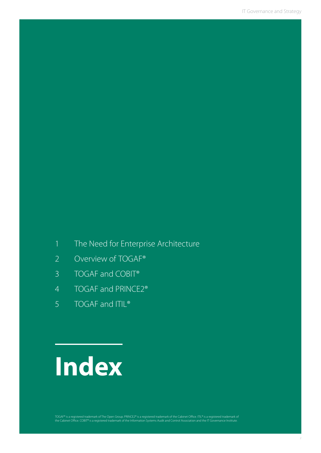### 1 The Need for Enterprise Architecture

- 2 Overview of TOGAF®
- 3 TOGAF and COBIT®
- 4 TOGAF and PRINCE2®
- 5 TOGAF and ITIL<sup>®</sup>

# **Index**

TOGAF® is a registered trademark of The Open Group. PRINCE2® is a registered trademark of the Cabinet Office. ITIL® is a registered trademark of<br>the Cabinet Office. COBIT® is a registered trademark of the Information Syste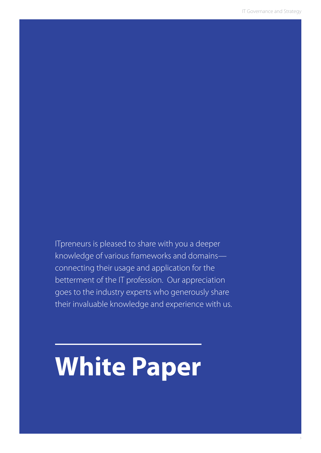ITpreneurs is pleased to share with you a deeper knowledge of various frameworks and domains connecting their usage and application for the betterment of the IT profession. Our appreciation goes to the industry experts who generously share their invaluable knowledge and experience with us.

# **White Paper**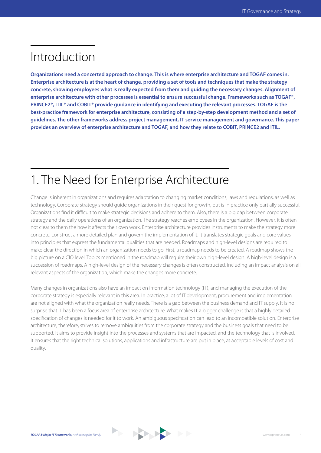# Introduction

**Organizations need a concerted approach to change. This is where enterprise architecture and TOGAF comes in. Enterprise architecture is at the heart of change, providing a set of tools and techniques that make the strategy concrete, showing employees what is really expected from them and guiding the necessary changes. Alignment of enterprise architecture with other processes is essential to ensure successful change. Frameworks such as TOGAF®, PRINCE2®, ITIL® and COBIT® provide guidance in identifying and executing the relevant processes. TOGAF is the best-practice framework for enterprise architecture, consisting of a step-by-step development method and a set of guidelines. The other frameworks address project management, IT service management and governance. This paper provides an overview of enterprise architecture and TOGAF, and how they relate to COBIT, PRINCE2 and ITIL.**

# 1. The Need for Enterprise Architecture

Change is inherent in organizations and requires adaptation to changing market conditions, laws and regulations, as well as technology. Corporate strategy should guide organizations in their quest for growth, but is in practice only partially successful. Organizations find it difficult to make strategic decisions and adhere to them. Also, there is a big gap between corporate strategy and the daily operations of an organization. The strategy reaches employees in the organization. However, it is often not clear to them the how it affects their own work. Enterprise architecture provides instruments to make the strategy more concrete, construct a more detailed plan and govern the implementation of it. It translates strategic goals and core values into principles that express the fundamental qualities that are needed. Roadmaps and high-level designs are required to make clear the direction in which an organization needs to go. First, a roadmap needs to be created. A roadmap shows the big picture on a CIO level. Topics mentioned in the roadmap will require their own high-level design. A high-level design is a succession of roadmaps. A high-level design of the necessary changes is often constructed, including an impact analysis on all relevant aspects of the organization, which make the changes more concrete.

Many changes in organizations also have an impact on information technology (IT), and managing the execution of the corporate strategy is especially relevant in this area. In practice, a lot of IT development, procurement and implementation are not aligned with what the organization really needs. There is a gap between the business demand and IT supply. It is no surprise that IT has been a focus area of enterprise architecture. What makes IT a bigger challenge is that a highly detailed specification of changes is needed for it to work. An ambiguous specification can lead to an incompatible solution. Enterprise architecture, therefore, strives to remove ambiguities from the corporate strategy and the business goals that need to be supported. It aims to provide insight into the processes and systems that are impacted, and the technology that is involved. It ensures that the right technical solutions, applications and infrastructure are put in place, at acceptable levels of cost and quality.

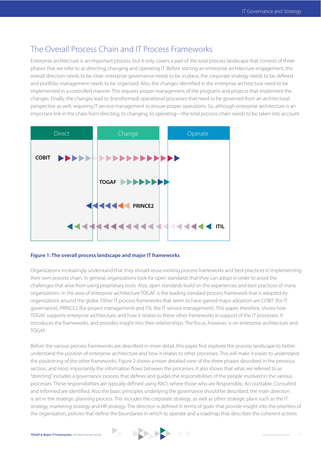### The Overall Process Chain and IT Process Frameworks

Enterprise architecture is an important process, but it only covers a part of the total process landscape that consists of three phases that we refer to as directing, changing and operating IT. Before starting an enterprise architecture engagement, the overall direction needs to be clear: enterprise governance needs to be in place, the corporate strategy needs to be defined and portfolio management needs to be organized. Also, the changes identified in the enterprise architecture need to be implemented in a controlled manner. This requires proper management of the programs and projects that implement the changes. Finally, the changes lead to (transformed) operational processes that need to be governed from an architectural perspective as well, requiring IT service management to ensure proper operations. So, although enterprise architecture is an important link in the chain from directing, to changing, to operating—the total process-chain needs to be taken into account.



#### **Figure 1: The overall process landscape and major IT frameworks**

Organizations increasingly understand that they should reuse existing process frameworks and best practices in implementing their own process chain. In general, organizations look for open standards that they can adopt in order to avoid the challenges that arise from using proprietary tools. Also, open standards build on the experiences and best practices of many organizations. In the area of enterprise architecture TOGAF is the leading standard process framework that is adopted by organizations around the globe. Other IT process frameworks that seem to have gained major adoption are COBIT (for IT governance), PRINCE2 (for project management) and ITIL (for IT service management). This paper, therefore, shows how TOGAF supports enterprise architecture, and how it relates to these other frameworks in support of the IT processes. It introduces the frameworks, and provides insight into their relationships. The focus, however, is on enterprise architecture and TOGAF.

Before the various process frameworks are described in more detail, this paper first explores the process landscape to better understand the position of enterprise architecture and how it relates to other processes. This will make it easier to understand the positioning of the other frameworks. Figure 2 shows a more detailed view of the three phases described in the previous section, and most importantly the information flows between the processes. It also shows that what we referred to as "directing" includes a governance process that defines and guides the responsibilities of the people involved in the various processes. These responsibilities are typically defined using RACI, where those who are Responsible, Accountable, Consulted and Informed are identified. Also the basic principles underlying the governance should be described; the main direction is set in the strategic planning process. This includes the corporate strategy, as well as other strategic plans such as the IT strategy, marketing strategy and HR strategy. The direction is defined in terms of goals that provide insight into the priorities of the organization, policies that define the boundaries in which to operate and a roadmap that describes the coherent actions

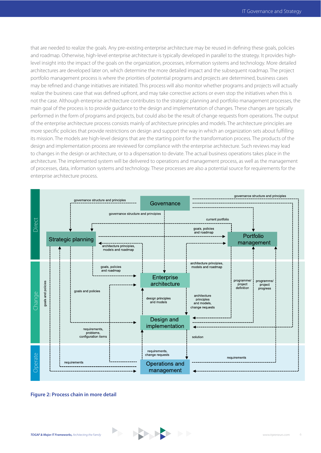that are needed to realize the goals. Any pre-existing enterprise architecture may be reused in defining these goals, policies and roadmap. Otherwise, high-level enterprise architecture is typically developed in parallel to the strategy. It provides highlevel insight into the impact of the goals on the organization, processes, information systems and technology. More detailed architectures are developed later on, which determine the more detailed impact and the subsequent roadmap. The project portfolio management process is where the priorities of potential programs and projects are determined, business cases may be refined and change initiatives are initiated. This process will also monitor whether programs and projects will actually realize the business case that was defined upfront, and may take corrective actions or even stop the initiatives when this is not the case. Although enterprise architecture contributes to the strategic planning and portfolio management processes, the main goal of the process is to provide guidance to the design and implementation of changes. These changes are typically performed in the form of programs and projects, but could also be the result of change requests from operations. The output of the enterprise architecture process consists mainly of architecture principles and models. The architecture principles are more specific policies that provide restrictions on design and support the way in which an organization sets about fulfilling its mission. The models are high-level designs that are the starting point for the transformation process. The products of the design and implementation process are reviewed for compliance with the enterprise architecture. Such reviews may lead to changes in the design or architecture, or to a dispensation to deviate. The actual business operations takes place in the architecture. The implemented system will be delivered to operations and management process, as well as the management of processes, data, information systems and technology. These processes are also a potential source for requirements for the enterprise architecture process.

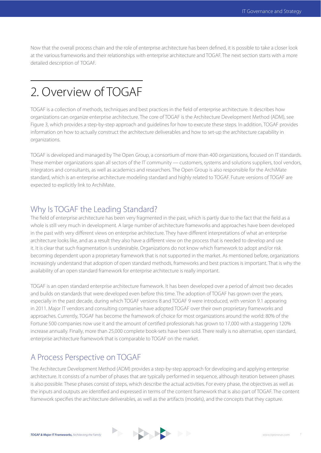Now that the overall process chain and the role of enterprise architecture has been defined, it is possible to take a closer look at the various frameworks and their relationships with enterprise architecture and TOGAF. The next section starts with a more detailed description of TOGAF.

### 2. Overview of TOGAF

TOGAF is a collection of methods, techniques and best practices in the field of enterprise architecture. It describes how organizations can organize enterprise architecture. The core of TOGAF is the Architecture Development Method (ADM), see Figure 3, which provides a step-by-step approach and guidelines for how to execute these steps. In addition, TOGAF provides information on how to actually construct the architecture deliverables and how to set-up the architecture capability in organizations.

TOGAF is developed and managed by The Open Group, a consortium of more than 400 organizations, focused on IT standards. These member organizations span all sectors of the IT community — customers, systems and solutions suppliers, tool vendors, integrators and consultants, as well as academics and researchers. The Open Group is also responsible for the ArchiMate standard, which is an enterprise architecture modeling standard and highly related to TOGAF. Future versions of TOGAF are expected to explicitly link to ArchiMate.

#### Why Is TOGAF the Leading Standard?

The field of enterprise architecture has been very fragmented in the past, which is partly due to the fact that the field as a whole is still very much in development. A large number of architecture frameworks and approaches have been developed in the past with very different views on enterprise architecture. They have different interpretations of what an enterprise architecture looks like, and as a result they also have a different view on the process that is needed to develop and use it. It is clear that such fragmentation is undesirable. Organizations do not know which framework to adopt and/or risk becoming dependent upon a proprietary framework that is not supported in the market. As mentioned before, organizations increasingly understand that adoption of open standard methods, frameworks and best practices is important. That is why the availability of an open standard framework for enterprise architecture is really important.

TOGAF is an open standard enterprise architecture framework. It has been developed over a period of almost two decades and builds on standards that were developed even before this time. The adoption of TOGAF has grown over the years, especially in the past decade, during which TOGAF versions 8 and TOGAF 9 were introduced, with version 9.1 appearing in 2011. Major IT vendors and consulting companies have adopted TOGAF over their own proprietary frameworks and approaches. Currently, TOGAF has become the framework of choice for most organizations around the world: 80% of the Fortune 500 companies now use it and the amount of certified professionals has grown to 17,000 with a staggering 120% increase annually. Finally, more than 25,000 complete book-sets have been sold. There really is no alternative, open standard, enterprise architecture framework that is comparable to TOGAF on the market.

### A Process Perspective on TOGAF

The Architecture Development Method (ADM) provides a step-by-step approach for developing and applying enterprise architecture. It consists of a number of phases that are typically performed in sequence, although iteration between phases is also possible. These phases consist of steps, which describe the actual activities. For every phase, the objectives as well as the inputs and outputs are identified and expressed in terms of the content framework that is also part of TOGAF. The content framework specifies the architecture deliverables, as well as the artifacts (models), and the concepts that they capture.

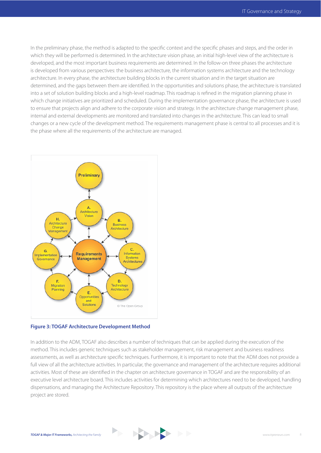In the preliminary phase, the method is adapted to the specific context and the specific phases and steps, and the order in which they will be performed is determined. In the architecture vision phase, an initial high-level view of the architecture is developed, and the most important business requirements are determined. In the follow-on three phases the architecture is developed from various perspectives: the business architecture, the information systems architecture and the technology architecture. In every phase, the architecture building blocks in the current situation and in the target situation are determined, and the gaps between them are identified. In the opportunities and solutions phase, the architecture is translated into a set of solution building blocks and a high-level roadmap. This roadmap is refined in the migration planning phase in which change initiatives are prioritized and scheduled. During the implementation governance phase, the architecture is used to ensure that projects align and adhere to the corporate vision and strategy. In the architecture change management phase, internal and external developments are monitored and translated into changes in the architecture. This can lead to small changes or a new cycle of the development method. The requirements management phase is central to all processes and it is the phase where all the requirements of the architecture are managed.



#### **Figure 3: TOGAF Architecture Development Method**

In addition to the ADM, TOGAF also describes a number of techniques that can be applied during the execution of the method. This includes generic techniques such as stakeholder management, risk management and business readiness assessments, as well as architecture specific techniques. Furthermore, it is important to note that the ADM does not provide a full view of all the architecture activities. In particular, the governance and management of the architecture requires additional activities. Most of these are identified in the chapter on architecture governance in TOGAF and are the responsibility of an executive level architecture board. This includes activities for determining which architectures need to be developed, handling dispensations, and managing the Architecture Repository. This repository is the place where all outputs of the architecture project are stored.

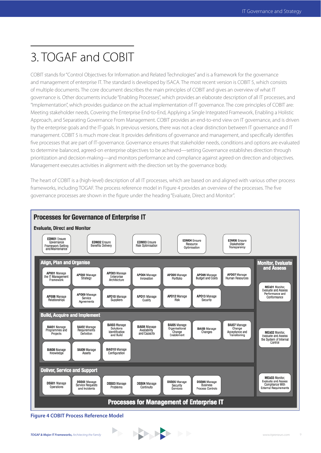# 3. TOGAF and COBIT

COBIT stands for "Control Objectives for Information and Related Technologies" and is a framework for the governance and management of enterprise IT. The standard is developed by ISACA. The most recent version is COBIT 5, which consists of multiple documents. The core document describes the main principles of COBIT and gives an overview of what IT governance is. Other documents include "Enabling Processes", which provides an elaborate description of all IT processes, and "Implementation", which provides guidance on the actual implementation of IT governance. The core principles of COBIT are: Meeting stakeholder needs, Covering the Enterprise End-to-End, Applying a Single Integrated Framework, Enabling a Holistic Approach, and Separating Governance From Management. COBIT provides an end-to-end view on IT governance, and is driven by the enterprise goals and the IT-goals. In previous versions, there was not a clear distinction between IT governance and IT management. COBIT 5 is much more clear. It provides definitions of governance and management, and specifically identifies five processes that are part of IT-governance. Governance ensures that stakeholder needs, conditions and options are evaluated to determine balanced, agreed-on enterprise objectives to be achieved—setting Governance establishes direction through prioritization and decision-making—and monitors performance and compliance against agreed-on direction and objectives. Management executes activities in alignment with the direction set by the governance body.

The heart of COBIT is a (high-level) description of all IT processes, which are based on and aligned with various other process frameworks, including TOGAF. The process reference model in Figure 4 provides an overview of the processes. The five governance processes are shown in the figure under the heading "Evaluate, Direct and Monitor".



**Figure 4 COBIT Process Reference Model**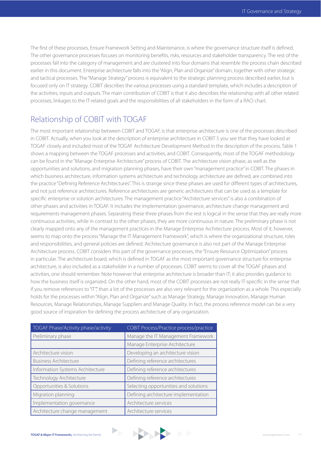The first of these processes, Ensure Framework Setting and Maintenance, is where the governance structure itself is defined. The other governance processes focuses on monitoring benefits, risks, resources and stakeholder transparency. The rest of the processes fall into the category of management and are clustered into four domains that resemble the process chain described earlier in this document. Enterprise architecture falls into the "Align, Plan and Organize" domain, together with other strategic and tactical processes. The "Manage Strategy" process is equivalent to the strategic planning process described earlier, but is focused only on IT strategy. COBIT describes the various processes using a standard template, which includes a description of the activities, inputs and outputs. The main contribution of COBIT is that it also describes the relationship with all other related processes, linkages to the IT-related goals and the responsibilities of all stakeholders in the form of a RACI chart.

### Relationship of COBIT with TOGAF

The most important relationship between COBIT and TOGAF, is that enterprise architecture is one of the processes described in COBIT. Actually, when you look at the description of enterprise architecture in COBIT 5 you see that they have looked at TOGAF closely and included most of the TOGAF Architecture Development Method in the description of the process. Table 1 shows a mapping between the TOGAF processes and activities, and COBIT. Consequently, most of the TOGAF methodology can be found in the "Manage Enterprise Architecture" process of COBIT. The architecture vision phase, as well as the opportunities and solutions, and migration planning phases, have their own "management practice" in COBIT. The phases in which business architecture, information systems architecture and technology architecture are defined, are combined into the practice "Defining Reference Architectures". This is strange since these phases are used for different types of architectures, and not just reference architectures. Reference architectures are generic architectures that can be used as a template for specific enterprise or solution architectures. The management practice "Architecture services" is also a combination of other phases and activities in TOGAF. It includes the implementation governance, architecture change management and requirements management phases. Separating these three phases from the rest is logical in the sense that they are really more continuous activities, while in contrast to the other phases, they are more continuous in nature. The preliminary phase is not clearly mapped onto any of the management practices in the Manage Enterprise Architecture process. Most of it, however, seems to map onto the process "Manage the IT Management Framework", which is where the organizational structure, roles and responsibilities, and general policies are defined. Architecture governance is also not part of the Manage Enterprise Architecture process. COBIT considers this part of the governance processes, the "Ensure Resource Optimization" process in particular. The architecture board, which is defined in TOGAF as the most important governance structure for enterprise architecture, is also included as a stakeholder in a number of processes. COBIT seems to cover all the TOGAF phases and activities, one should remember. Note however that enterprise architecture is broader than IT; it also provides guidance to how the business itself is organized. On the other hand, most of the COBIT processes are not really IT-specific in the sense that if you remove references to "IT"," than a lot of the processes are also very relevant for the organization as a whole. This especially holds for the processes within "Align, Plan and Organize" such as Manage Strategy, Manage Innovation, Manage Human Resources, Manage Relationships, Manage Suppliers and Manage Quality. In fact, the process reference model can be a very good source of inspiration for defining the process architecture of any organization.

| TOGAF Phase/Activity phase/activity | <b>COBIT Process/Practice process/practice</b> |
|-------------------------------------|------------------------------------------------|
| Preliminary phase                   | Manage the IT Management Framework             |
|                                     | Manage Enterprise Architecture                 |
| Architecture vision                 | Developing an architecture vision              |
| <b>Business Architecture</b>        | Defining reference architectures               |
| Information Systems Architecture    | Defining reference architectures               |
| Technology Architecture             | Defining reference architectures               |
| Opportunities & Solutions           | Selecting opportunities and solutions          |
| Migration planning                  | Defining architecture implementation           |
| Implementation governance           | Architecture services                          |
| Architecture change management      | Architecture services                          |

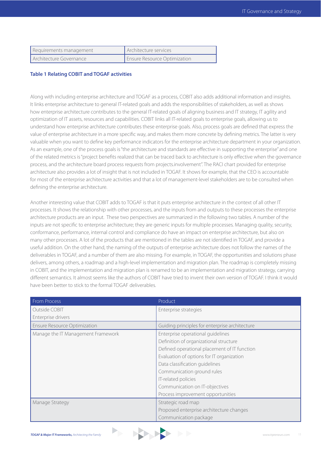| Requirements management  | Architecture services        |
|--------------------------|------------------------------|
| LArchitecture Governance | Ensure Resource Optimization |

#### **Table 1 Relating COBIT and TOGAF activities**

Along with including enterprise architecture and TOGAF as a process, COBIT also adds additional information and insights. It links enterprise architecture to general IT-related goals and adds the responsibilities of stakeholders, as well as shows how enterprise architecture contributes to the general IT-related goals of aligning business and IT strategy, IT agility and optimization of IT assets, resources and capabilities. COBIT links all IT-related goals to enterprise goals, allowing us to understand how enterprise architecture contributes these enterprise goals. Also, process goals are defined that express the value of enterprise architecture in a more specific way, and makes them more concrete by defining metrics. The latter is very valuable when you want to define key performance indicators for the enterprise architecture department in your organization. As an example, one of the process goals is "the architecture and standards are effective in supporting the enterprise" and one of the related metrics is "project benefits realized that can be traced back to architecture is only effective when the governance process, and the architecture board process requests from projects.involvement". The RACI chart provided for enterprise architecture also provides a lot of insight that is not included in TOGAF. It shows for example, that the CEO is accountable for most of the enterprise architecture activities and that a lot of management-level stakeholders are to be consulted when defining the enterprise architecture.

Another interesting value that COBIT adds to TOGAF is that it puts enterprise architecture in the context of all other IT processes. It shows the relationship with other processes, and the inputs from and outputs to these processes the enterprise architecture products are an input. These two perspectives are summarized in the following two tables. A number of the inputs are not specific to enterprise architecture; they are generic inputs for multiple processes. Managing quality, security, conformance, performance, internal control and compliance do have an impact on enterprise architecture, but also on many other processes. A lot of the products that are mentioned in the tables are not identified in TOGAF, and provide a useful addition. On the other hand, the naming of the outputs of enterprise architecture does not follow the names of the deliverables in TOGAF, and a number of them are also missing. For example, in TOGAF, the opportunities and solutions phase delivers, among others, a roadmap and a high-level implementation and migration plan. The roadmap is completely missing in COBIT, and the implementation and migration plan is renamed to be an implementation and migration strategy, carrying different semantics. It almost seems like the authors of COBIT have tried to invent their own version of TOGAF. I think it would have been better to stick to the formal TOGAF deliverables.

| <b>From Process</b>                | Product                                        |
|------------------------------------|------------------------------------------------|
| Outside COBIT                      | Enterprise strategies                          |
| Enterprise drivers                 |                                                |
| Ensure Resource Optimization       | Guiding principles for enterprise architecture |
| Manage the IT Management Framework | Enterprise operational quidelines              |
|                                    | Definition of organizational structure         |
|                                    | Defined operational placement of IT function   |
|                                    | Evaluation of options for IT organization      |
|                                    | Data classification guidelines                 |
|                                    | Communication ground rules                     |
|                                    | IT-related policies                            |
|                                    | Communication on IT-objectives                 |
|                                    | Process improvement opportunities              |
| Manage Strategy                    | Strategic road map                             |
|                                    | Proposed enterprise architecture changes       |
|                                    | Communication package                          |

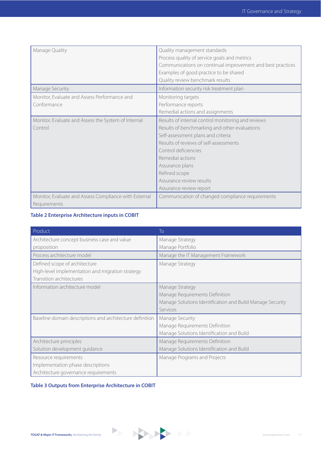| Manage Quality                                        | Quality management standards                               |  |  |
|-------------------------------------------------------|------------------------------------------------------------|--|--|
|                                                       | Process quality of service goals and metrics               |  |  |
|                                                       | Communications on continual improvement and best practices |  |  |
|                                                       | Examples of good practice to be shared                     |  |  |
|                                                       | Quality review benchmark results                           |  |  |
| Manage Security                                       | Information security risk treatment plan                   |  |  |
| Monitor, Evaluate and Assess Performance and          | Monitoring targets                                         |  |  |
| Conformance                                           | Performance reports                                        |  |  |
|                                                       | Remedial actions and assignments                           |  |  |
| Monitor, Evaluate and Assess the System of Internal   | Results of internal control monitoring and reviews         |  |  |
| Control                                               | Results of benchmarking and other evaluations              |  |  |
|                                                       | Self-assessment plans and criteria                         |  |  |
|                                                       | Results of reviews of self-assessments                     |  |  |
|                                                       | Control deficiencies                                       |  |  |
|                                                       | Remedial actions                                           |  |  |
|                                                       | Assurance plans                                            |  |  |
|                                                       | Refined scope                                              |  |  |
|                                                       | Assurance review results                                   |  |  |
|                                                       | Assurance review report                                    |  |  |
| Monitor, Evaluate and Assess Compliance with External | Communication of changed compliance requirements           |  |  |
| Requirements                                          |                                                            |  |  |

#### **Table 2 Enterprise Architecture inputs in COBIT**

| Product                                                  | To                                                        |
|----------------------------------------------------------|-----------------------------------------------------------|
| Architecture concept business case and value             | Manage Strategy                                           |
| proposition                                              | Manage Portfolio                                          |
| Process architecture model                               | Manage the IT Management Framework                        |
| Defined scope of architecture                            | Manage Strategy                                           |
| High-level implementation and migration strategy         |                                                           |
| Transition architectures                                 |                                                           |
| Information architecture model                           | Manage Strategy                                           |
|                                                          | Manage Requirements Definition                            |
|                                                          | Manage Solutions Identification and Build Manage Security |
|                                                          | Services                                                  |
| Baseline domain descriptions and architecture definition | Manage Security                                           |
|                                                          | Manage Requirements Definition                            |
|                                                          | Manage Solutions Identification and Build                 |
| Architecture principles                                  | Manage Requirements Definition                            |
| Solution development guidance                            | Manage Solutions Identification and Build                 |
| Resource requirements                                    | Manage Programs and Projects                              |
| Implementation phase descriptions                        |                                                           |
| Architecture governance requirements                     |                                                           |

#### **Table 3 Outputs from Enterprise Architecture in COBIT**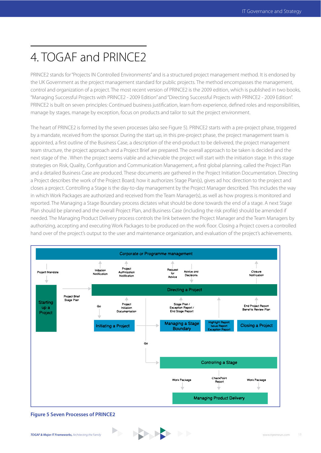# 4. TOGAF and PRINCE2

PRINCE2 stands for "Projects IN Controlled Environments" and is a structured project management method. It is endorsed by the UK Government as the project management standard for public projects. The method encompasses the management, control and organization of a project. The most recent version of PRINCE2 is the 2009 edition, which is published in two books, "Managing Successful Projects with PRINCE2 - 2009 Edition" and "Directing Successful Projects with PRINCE2 - 2009 Edition". PRINCE2 is built on seven principles: Continued business justification, learn from experience, defined roles and responsibilities, manage by stages, manage by exception, focus on products and tailor to suit the project environment.

The heart of PRINCE2 is formed by the seven processes (also see Figure 5). PRINCE2 starts with a pre-project phase, triggered by a mandate, received from the sponsor. During the start up, in this pre-project phase, the project management team is appointed, a first outline of the Business Case, a description of the end-product to be delivered, the project management team structure, the project approach and a Project Brief are prepared. The overall approach to be taken is decided and the next stage of the . When the project seems viable and achievable the project will start with the initiation stage. In this stage strategies on Risk, Quality, Configuration and Communication Management, a first global planning, called the Project Plan and a detailed Business Case are produced. These documents are gathered in the Project Initiation Documentation. Directing a Project describes the work of the Project Board; how it authorizes Stage Plan(s), gives ad hoc direction to the project and closes a project. Controlling a Stage is the day-to-day management by the Project Manager described. This includes the way in which Work Packages are authorized and received from the Team Manager(s), as well as how progress is monitored and reported. The Managing a Stage Boundary process dictates what should be done towards the end of a stage. A next Stage Plan should be planned and the overall Project Plan, and Business Case (including the risk profile) should be amended if needed. The Managing Product Delivery process controls the link between the Project Manager and the Team Managers by authorizing, accepting and executing Work Packages to be produced on the work floor. Closing a Project covers a controlled hand over of the project's output to the user and maintenance organization, and evaluation of the project's achievements.



**Figure 5 Seven Processes of PRINCE2**

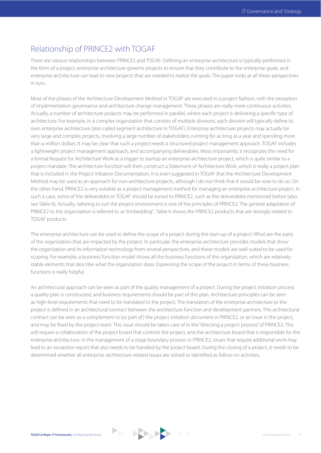### Relationship of PRINCE2 with TOGAF

There are various relationships between PRINCE2 and TOGAF: Defining an enterprise architecture is typically performed in the form of a project, enterprise architecture governs projects to ensure that they contribute to the enterprise goals, and enterprise architecture can lead to new projects that are needed to realize the goals. The paper looks at all these perspectives in turn.

Most of the phases of the Architecture Development Method in TOGAF are executed in a project fashion, with the exception of implementation governance and architecture change management. These phases are really more continuous activities. Actually, a number of architecture projects may be performed in parallel, where each project is delivering a specific type of architecture. For example, in a complex organization that consists of multiple divisions, each division will typically define its own enterprise architecture (also called segment architecture in TOGAF). Enterprise architecture projects may actually be very large and complex projects, involving a large number of stakeholders, running for as long as a year and spending more than a million dollars. It may be clear that such a project needs a structured project management approach. TOGAF includes a lightweight project management approach, and accompanying deliverables. Most importantly, it recognizes the need for a formal Request for Architecture Work as a trigger to startup an enterprise architecture project, which is quite similar to a project mandate. The architecture function will then construct a Statement of Architecture Work, which is really a project plan that is included in the Project Initiation Documentation. It is even suggested in TOGAF that the Architecture Development Method may be used as an approach for non-architecture projects, although I do not think that it would be wise to do so. On the other hand, PRINCE2 is very suitable as a project management method for managing an enterprise architecture project. In such a case, some of the deliverables in TOGAF should be tuned to PRINCE2, such as the deliverables mentioned before (also see Table 6). Actually, tailoring to suit the project environment is one of the principles of PRINCE2. The general adaptation of PRINCE2 to the organization is referred to as "embedding". Table 6 shows the PRINCE2 products that are strongly related to TOGAF products.

The enterprise architecture can be used to define the scope of a project during the start-up of a project: What are the parts of the organization that are impacted by the project. In particular, the enterprise architecture provides models that show the organization and its information technology from several perspectives, and these models are well suited to be used for scoping. For example, a business function model shows all the business functions of the organization, which are relatively stable elements that describe what the organization does. Expressing the scope of the project in terms of these business functions is really helpful.

An architectural approach can be seen as part of the quality management of a project. During the project initiation process a quality plan is constructed, and business requirements should be part of this plan. Architecture principles can be seen as high-level requirements that need to be translated to the project. The translation of the enterprise architecture to the project is defined in an architectural contract between the architecture function and development partners. This architectural contract can be seen as a complement to (or part of ) the project initiation document in PRINCE2, or an issue in the project, and may be fixed by the project team. This issue should be taken care of in the "directing a project process" of PRINCE2. This will require a collaboration of the project board that controls the project, and the architecture board that is responsible for the enterprise architecture. In the management of a stage boundary process in PRINCE2, issues that require additional work may lead to an exception report that also needs to be handled by the project board. During the closing of a project, it needs to be determined whether all enterprise-architecture related issues are solved or identified as follow-on activities.

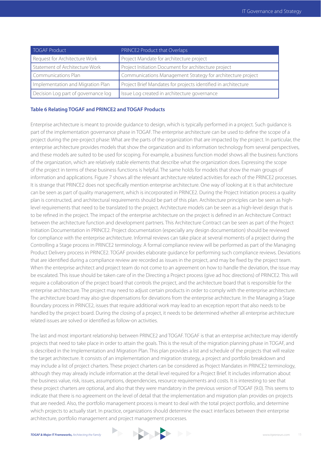| TOGAF Product                       | PRINCE2 Product that Overlaps                                  |
|-------------------------------------|----------------------------------------------------------------|
| Request for Architecture Work       | Project Mandate for architecture project                       |
| Statement of Architecture Work      | Project Initiation Document for architecture project           |
| Communications Plan                 | Communications Management Strategy for architecture project    |
| Implementation and Migration Plan   | Project Brief Mandates for projects identified in architecture |
| Decision Log part of governance log | Issue Log created in architecture governance                   |

#### **Table 6 Relating TOGAF and PRINCE2 and TOGAF Products**

Enterprise architecture is meant to provide guidance to design, which is typically performed in a project. Such guidance is part of the implementation governance phase in TOGAF. The enterprise architecture can be used to define the scope of a project during the pre-project phase: What are the parts of the organization that are impacted by the project. In particular, the enterprise architecture provides models that show the organization and its information technology from several perspectives, and these models are suited to be used for scoping. For example, a business function model shows all the business functions of the organization, which are relatively stable elements that describe what the organization does. Expressing the scope of the project in terms of these business functions is helpful. The same holds for models that show the main groups of information and applications. Figure 7 shows all the relevant architecture related activities for each of the PRINCE2 processes. It is strange that PRINCE2 does not specifically mention enterprise architecture. One way of looking at it is that architecture can be seen as part of quality management, which is incorporated in PRINCE2. During the Project Initiation process a quality plan is constructed, and architectural requirements should be part of this plan. Architecture principles can be seen as highlevel requirements that need to be translated to the project. Architecture models can be seen as a high-level design that is to be refined in the project. The impact of the enterprise architecture on the project is defined in an Architecture Contract between the architecture function and development partners. This Architecture Contract can be seen as part of the Project Initiation Documentation in PRINCE2. Project documentation (especially any design documentation) should be reviewed for compliance with the enterprise architecture. Informal reviews can take place at several moments of a project during the Controlling a Stage process in PRINCE2 terminology. A formal compliance review will be performed as part of the Managing Product Delivery process in PRINCE2. TOGAF provides elaborate guidance for performing such compliance reviews. Deviations that are identified during a compliance review are recorded as issues in the project, and may be fixed by the project team. When the enterprise architect and project team do not come to an agreement on how to handle the deviation, the issue may be escalated. This issue should be taken care of in the Directing a Project process (give ad hoc directions) of PRINCE2. This will require a collaboration of the project board that controls the project, and the architecture board that is responsible for the enterprise architecture. The project may need to adjust certain products in order to comply with the enterprise architecture. The architecture board may also give dispensations for deviations from the enterprise architecture. In the Managing a Stage Boundary process in PRINCE2, issues that require additional work may lead to an exception report that also needs to be handled by the project board. During the closing of a project, it needs to be determined whether all enterprise architecture related issues are solved or identified as follow-on activities.

The last and most important relationship between PRINCE2 and TOGAF. TOGAF is that an enterprise architecture may identify projects that need to take place in order to attain the goals. This is the result of the migration planning phase in TOGAF, and is described in the Implementation and Migration Plan. This plan provides a list and schedule of the projects that will realize the target architecture. It consists of an implementation and migration strategy, a project and portfolio breakdown and may include a list of project charters. These project charters can be considered as Project Mandates in PRINCE2 terminology, although they may already include information at the detail level required for a Project Brief. It includes information about the business value, risk, issues, assumptions, dependencies, resource requirements and costs. It is interesting to see that these project charters are optional, and also that they were mandatory in the previous version of TOGAF (9.0). This seems to indicate that there is no agreement on the level of detail that the implementation and migration plan provides on projects that are needed. Also, the portfolio management process is meant to deal with the total project portfolio, and determine which projects to actually start. In practice, organizations should determine the exact interfaces between their enterprise architecture, portfolio management and project management processes.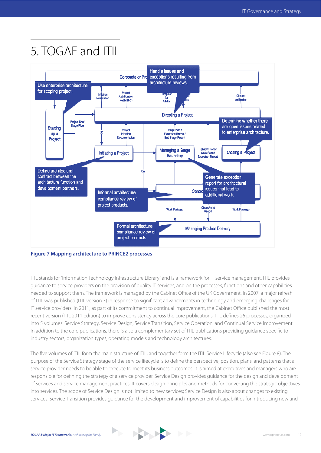# 5. TOGAF and ITIL



**Figure 7 Mapping architecture to PRINCE2 processes**

ITIL stands for "Information Technology Infrastructure Library" and is a framework for IT service management. ITIL provides guidance to service providers on the provision of quality IT services, and on the processes, functions and other capabilities needed to support them. The framework is managed by the Cabinet Office of the UK Government. In 2007, a major refresh of ITIL was published (ITIL version 3) in response to significant advancements in technology and emerging challenges for IT service providers. In 2011, as part of its commitment to continual improvement, the Cabinet Office published the most recent version (ITIL 2011 edition) to improve consistency across the core publications. ITIL defines 26 processes, organized into 5 volumes: Service Strategy, Service Design, Service Transition, Service Operation, and Continual Service Improvement. In addition to the core publications, there is also a complementary set of ITIL publications providing quidance specific to industry sectors, organization types, operating models and technology architectures.

The five volumes of ITIL form the main structure of ITIL, and together form the ITIL Service Lifecycle (also see Figure 8). The purpose of the Service Strategy stage of the service lifecycle is to define the perspective, position, plans, and patterns that a service provider needs to be able to execute to meet its business outcomes. It is aimed at executives and managers who are responsible for defining the strategy of a service provider. Service Design provides guidance for the design and development of services and service management practices. It covers design principles and methods for converting the strategic objectives into services. The scope of Service Design is not limited to new services; Service Design is also about changes to existing services. Service Transition provides guidance for the development and improvement of capabilities for introducing new and

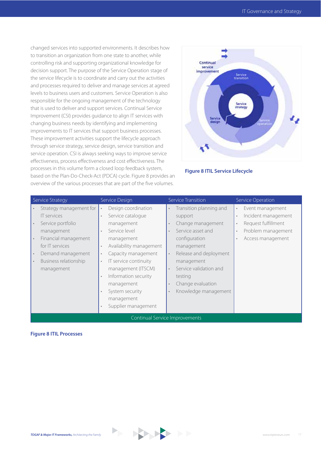changed services into supported environments. It describes how to transition an organization from one state to another, while controlling risk and supporting organizational knowledge for decision support. The purpose of the Service Operation stage of the service lifecycle is to coordinate and carry out the activities and processes required to deliver and manage services at agreed levels to business users and customers. Service Operation is also responsible for the ongoing management of the technology that is used to deliver and support services. Continual Service Improvement (CSI) provides guidance to align IT services with changing business needs by identifying and implementing improvements to IT services that support business processes. These improvement activities support the lifecycle approach through service strategy, service design, service transition and service operation. CSI is always seeking ways to improve service effectiveness, process effectiveness and cost effectiveness. The processes in this volume form a closed loop feedback system, based on the Plan-Do-Check-Act (PDCA) cycle. Figure 8 provides an overview of the various processes that are part of the five volumes.



#### **Figure 8 ITIL Service Lifecycle**

| Service Strategy                                                                                                                                                                        | Service Design                                                                                                                                                                                                                                                                                                                                                                             | Service Transition                                                                                                                                                                                                                                                                        | <b>Service Operation</b>                                                                                                            |  |
|-----------------------------------------------------------------------------------------------------------------------------------------------------------------------------------------|--------------------------------------------------------------------------------------------------------------------------------------------------------------------------------------------------------------------------------------------------------------------------------------------------------------------------------------------------------------------------------------------|-------------------------------------------------------------------------------------------------------------------------------------------------------------------------------------------------------------------------------------------------------------------------------------------|-------------------------------------------------------------------------------------------------------------------------------------|--|
| Strategy management for<br><b>IT</b> services<br>Service portfolio<br>management<br>Financial management<br>for IT services<br>Demand management<br>Business relationship<br>management | Design coordination<br>$\bullet$<br>Service catalogue<br>$\ddot{\phantom{0}}$<br>management<br>Service level<br>management<br>Availability management<br>$\bullet$<br>Capacity management<br>$\bullet$<br>IT service continuity<br>$\bullet$<br>management (ITSCM)<br>Information security<br>$\bullet$<br>management<br>System security<br>management<br>Supplier management<br>$\bullet$ | Transition planning and<br>$\bullet$<br>support<br>Change management<br>Service asset and<br>configuration<br>management<br>Release and deployment<br>$\bullet$<br>management<br>Service validation and<br>$\bullet$<br>testing<br>Change evaluation<br>Knowledge management<br>$\bullet$ | Event management<br>$\bullet$<br>Incident management<br>$\bullet$<br>Request fulfillment<br>Problem management<br>Access management |  |
| Continual Service Improvements                                                                                                                                                          |                                                                                                                                                                                                                                                                                                                                                                                            |                                                                                                                                                                                                                                                                                           |                                                                                                                                     |  |

#### **Figure 8 ITIL Processes**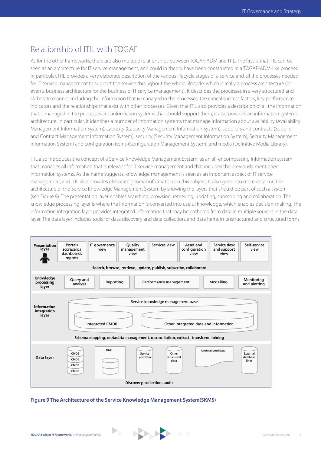### Relationship of ITIL with TOGAF

As for the other frameworks, there are also multiple relationships between TOGAF, ADM and ITIL. The first is that ITIL can be seen as an architecture for IT service management, and could in theory have been constructed in a TOGAF-ADM-like process. In particular, ITIL provides a very elaborate description of the various lifecycle stages of a service and all the processes needed for IT service management to support the service throughout the whole lifecycle, which is really a process architecture (or even a business architecture for the business of IT service management). It describes the processes in a very structured and elaborate manner, including the information that is managed in the processes, the critical success factors, key performance indicators and the relationships that exist with other processes. Given that ITIL also provides a description of all the information that is managed in the processes and information systems that should support them, it also provides an information systems architecture. In particular, it identifies a number of information systems that manage information about availability (Availability Management Information System), capacity (Capacity Management Information System), suppliers and contracts (Supplier and Contract Management Information System), security (Security Management Information System), Security Management Information System) and configuration items (Configuration Management System) and media (Definitive Media Library).

ITIL also introduces the concept of a Service Knowledge Management System, as an all-encompassing information system that manages all information that is relevant for IT service management and that includes the previously mentioned information systems. As the name suggests, knowledge management is seen as an important aspect of IT service management, and ITIL also provides elaborate general information on this subject. It also goes into more detail on the architecture of the Service Knowledge Management System by showing the layers that should be part of such a system (see Figure 9). The presentation layer enables searching, browsing, retrieving, updating, subscribing and collaboration. The knowledge processing layer is where the information is converted into useful knowledge, which enables decision-making. The information integration layer provides integrated information that may be gathered from data in multiple sources in the data layer. The data layer includes tools for data discovery and data collection, and data items in unstructured and structured forms.



**Figure 9 The Architecture of the Service Knowledge Management System(SKMS)**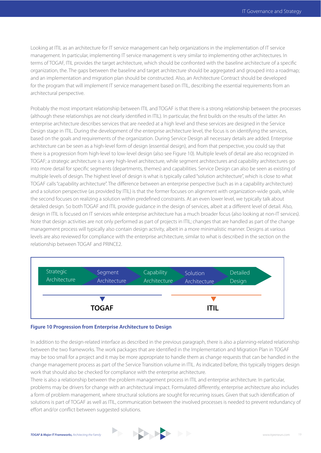Looking at ITIL as an architecture for IT service management can help organizations in the implementation of IT service management. In particular, implementing IT service management is very similar to implementing other architectures. In terms of TOGAF, ITIL provides the target architecture, which should be confronted with the baseline architecture of a specific organization, the. The gaps between the baseline and target architecture should be aggregated and grouped into a roadmap; and an implementation and migration plan should be constructed. Also, an Architecture Contract should be developed for the program that will implement IT service management based on ITIL, describing the essential requirements from an architectural perspective.

Probably the most important relationship between ITIL and TOGAF is that there is a strong relationship between the processes (although these relationships are not clearly identified in ITIL). In particular, the first builds on the results of the latter. An enterprise architecture describes services that are needed at a high level and these services are designed in the Service Design stage in ITIL. During the development of the enterprise architecture level, the focus is on identifying the services, based on the goals and requirements of the organization. During Service Design all necessary details are added. Enterprise architecture can be seen as a high-level form of design (essential design), and from that perspective, you could say that there is a progression from high-level to low-level design (also see Figure 10). Multiple levels of detail are also recognized in TOGAF; a strategic architecture is a very high-level architecture, while segment architectures and capability architectures go into more detail for specific segments (departments, themes) and capabilities. Service Design can also be seen as existing of multiple levels of design. The highest level of design is what is typically called "solution architecture", which is close to what TOGAF calls "capability architecture". The difference between an enterprise perspective (such as in a capability architecture) and a solution perspective (as provided by ITIL) is that the former focuses on alignment with organization-wide goals, while the second focuses on realizing a solution within predefined constraints. At an even lower level, we typically talk about detailed design. So both TOGAF and ITIL provide guidance in the design of services, albeit at a different level of detail. Also, design in ITIL is focused on IT services while enterprise architecture has a much broader focus (also looking at non-IT services). Note that design activities are not only performed as part of projects in ITIL; changes that are handled as part of the change management process will typically also contain design activity, albeit in a more minimalistic manner. Designs at various levels are also reviewed for compliance with the enterprise architecture, similar to what is described in the section on the relationship between TOGAF and PRINCE2.



#### **Figure 10 Progression from Enterprise Architecture to Design**

In addition to the design-related interface as described in the previous paragraph, there is also a planning-related relationship between the two frameworks. The work packages that are identified in the Implementation and Migration Plan in TOGAF may be too small for a project and it may be more appropriate to handle them as change requests that can be handled in the change management process as part of the Service Transition volume in ITIL. As indicated before, this typically triggers design work that should also be checked for compliance with the enterprise architecture.

There is also a relationship between the problem management process in ITIL and enterprise architecture. In particular, problems may be drivers for change with an architectural impact. Formulated differently, enterprise architecture also includes a form of problem management, where structural solutions are sought for recurring issues. Given that such identification of solutions is part of TOGAF as well as ITIL, communication between the involved processes is needed to prevent redundancy of effort and/or conflict between suggested solutions.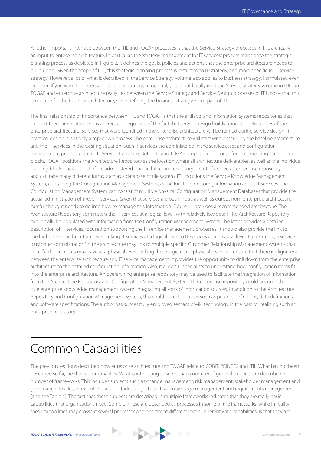Another important interface between the ITIL and TOGAF processes is that the Service Strategy processes in ITIL are really an input to enterprise architecture. In particular, the "strategy management for IT services" process maps onto the strategic planning process as depicted in Figure 2. It defines the goals, policies and actions that the enterprise architecture needs to build upon. Given the scope of ITIL, this strategic planning process is restricted to IT-strategy, and more specific to IT service strategy. However, a lot of what is described in the Service Strategy volume also applies to business strategy. Formulated even stronger: If you want to understand business strategy in general, you should really read the Service Strategy volume in ITIL. So TOGAF and enterprise architecture really lies between the Service Strategy and Service Design processes of ITIL. Note that this is not true for the business architecture, since defining the business strategy is not part of ITIL.

The final relationship of importance between ITIL and TOGAF is that the artifacts and information systems repositories that support them are related. This is a direct consequence of the fact that service design builds upon the deliverables of the enterprise architecture. Services that were identified in the enterprise architecture will be refined during service design. In practice, design is not only a top-down process. The enterprise architecture will start with describing the baseline architecture, and the IT services in the existing situation. Such IT services are administered in the service asset and configuration management process within ITIL Service Transition. Both ITIL and TOGAF propose repositories for documenting such building blocks. TOGAF positions the Architecture Repository as the location where all architecture deliverables, as well as the individual building blocks they consist of are administered. This architecture repository is part of an overall enterprise repository, and can take many different forms such as a database or file system. ITIL positions the Service Knowledge Management System, containing the Configuration Management System, as the location for storing information about IT services. The Configuration Management System can consist of multiple physical Configuration Management Databases that provide the actual administration of these IT services. Given that services are both input, as well as output from enterprise architecture, careful thought needs to go into how to manage this information. Figure 11 provides a recommended architecture. The Architecture Repository administers the IT services at a logical level, with relatively low detail. The Architecture Repository can initially be populated with information from the Configuration Management System. The latter provides a detailed description of IT services, focused on supporting the IT service management processes. It should also provide the link to the higher-level architectural layer, linking IT services at a logical level to IT services as a physical level. For example, a service "customer administration" in the architecture may link to multiple specific Customer Relationship Management systems that specific departments may have at a physical level. Linking these logical and physical levels will ensure that there is alignment between the enterprise architecture and IT service management. It provides the opportunity to drill down from the enterprise architecture to the detailed configuration information. Also, it allows IT specialists to understand how configuration items fit into the enterprise architecture. An overarching enterprise repository may be used to facilitate the integration of information from the Architecture Repository and Configuration Management System. This enterprise repository could become the true enterprise knowledge management system, integrating all sorts of information sources. In addition to the Architecture Repository and Configuration Management System, this could include sources such as process definitions, data definitions and software specifications. The author has successfully employed semantic wiki technology in the past for realizing such an enterprise repository.

### Common Capabilities

The previous sections described how enterprise architecture and TOGAF relate to COBIT, PRINCE2 and ITIL. What has not been described so far, are their commonalities. What is interesting to see is that a number of general subjects are described in a number of frameworks. This includes subjects such as change management, risk management, stakeholder management and governance. To a lesser extent this also includes subjects such as knowledge management and requirements management (also see Table 4). The fact that these subjects are described in multiple frameworks indicates that they are really basic capabilities that organizations need. Some of these are described as processes in some of the frameworks, while in reality these capabilities may crosscut several processes and operate at different levels. Inherent with capabilities, is that they are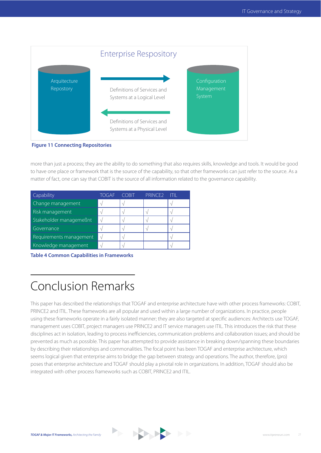

more than just a process; they are the ability to do something that also requires skills, knowledge and tools. It would be good to have one place or framework that is the source of the capability, so that other frameworks can just refer to the source. As a matter of fact, one can say that COBIT is the source of all information related to the governance capability.

| Capability              | TOGAF | <b>COBIT</b> | PRINCE <sub>2</sub> | ШI |
|-------------------------|-------|--------------|---------------------|----|
| Change management       |       |              |                     |    |
| Risk management         |       |              |                     |    |
| Stakeholder managemeßnt |       |              |                     |    |
| Governance              |       |              |                     |    |
| Requirements management |       |              |                     |    |
| Knowledge management    |       |              |                     |    |

**Table 4 Common Capabilities in Frameworks**

# Conclusion Remarks

This paper has described the relationships that TOGAF and enterprise architecture have with other process frameworks: COBIT, PRINCE2 and ITIL. These frameworks are all popular and used within a large number of organizations. In practice, people using these frameworks operate in a fairly isolated manner; they are also targeted at specific audiences: Architects use TOGAF, management uses COBIT, project managers use PRINCE2 and IT service managers use ITIL. This introduces the risk that these disciplines act in isolation, leading to process inefficiencies, communication problems and collaboration issues; and should be prevented as much as possible. This paper has attempted to provide assistance in breaking down/spanning these boundaries by describing their relationships and commonalities. The focal point has been TOGAF and enterprise architecture, which seems logical given that enterprise aims to bridge the gap between strategy and operations. The author, therefore, (pro) poses that enterprise architecture and TOGAF should play a pivotal role in organizations. In addition, TOGAF should also be integrated with other process frameworks such as COBIT, PRINCE2 and ITIL.

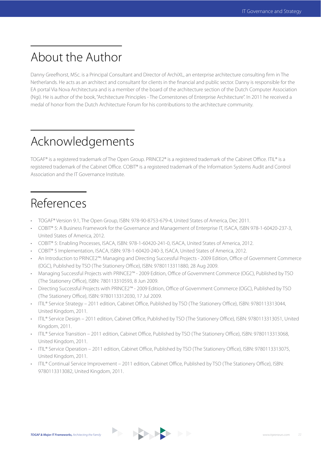# About the Author

Danny Greefhorst, MSc. is a Principal Consultant and Director of ArchiXL, an enterprise architecture consulting firm in The Netherlands. He acts as an architect and consultant for clients in the financial and public sector. Danny is responsible for the EA portal Via Nova Architectura and is a member of the board of the architecture section of the Dutch Computer Association (Ngi). He is author of the book, "Architecture Principles - The Cornerstones of Enterprise Architecture". In 2011 he received a medal of honor from the Dutch Architecture Forum for his contributions to the architecture community.

# Acknowledgements

TOGAF® is a registered trademark of The Open Group. PRINCE2® is a registered trademark of the Cabinet Office. ITIL® is a registered trademark of the Cabinet Office. COBIT® is a registered trademark of the Information Systems Audit and Control Association and the IT Governance Institute.

### References

- \* TOGAF® Version 9.1, The Open Group, ISBN: 978-90-8753-679-4, United States of America, Dec 2011.
- t COBIT® 5: A Business Framework for the Governance and Management of Enterprise IT, ISACA, ISBN 978-1-60420-237-3, United States of America, 2012.
- COBIT® 5: Enabling Processes, ISACA, ISBN: 978-1-60420-241-0, ISACA, United States of America, 2012.
- COBIT® 5 Implementation, ISACA, ISBN: 978-1-60420-240-3, ISACA, United States of America, 2012.
- An Introduction to PRINCE2™: Managing and Directing Successful Projects 2009 Edition, Office of Government Commerce (OGC), Published by TSO (The Stationery Office), ISBN: 9780113311880, 28 Aug 2009.
- . Managing Successful Projects with PRINCE2™ 2009 Edition, Office of Government Commerce (OGC), Published by TSO (The Stationery Office), ISBN: 780113310593, 8 Jun 2009.
- Directing Successful Projects with PRINCE2™ 2009 Edition, Office of Government Commerce (OGC), Published by TSO (The Stationery Office), ISBN: 9780113312030, 17 Jul 2009.
- ITIL® Service Strategy 2011 edition, Cabinet Office, Published by TSO (The Stationery Office), ISBN: 9780113313044, United Kingdom, 2011.
- · ITIL® Service Design 2011 edition, Cabinet Office, Published by TSO (The Stationery Office), ISBN: 9780113313051, United Kingdom, 2011.
- ITIL® Service Transition 2011 edition, Cabinet Office, Published by TSO (The Stationery Office), ISBN: 9780113313068, United Kingdom, 2011.
- ITIL® Service Operation 2011 edition, Cabinet Office, Published by TSO (The Stationery Office), ISBN: 9780113313075, United Kingdom, 2011.
- ITIL® Continual Service Improvement 2011 edition, Cabinet Office, Published by TSO (The Stationery Office), ISBN: 9780113313082, United Kingdom, 2011.

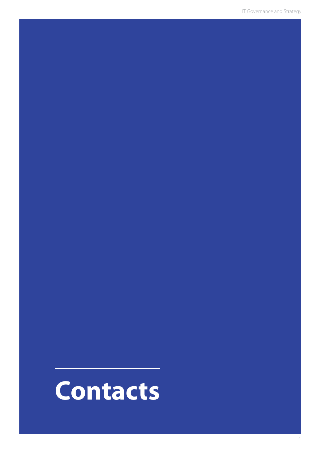